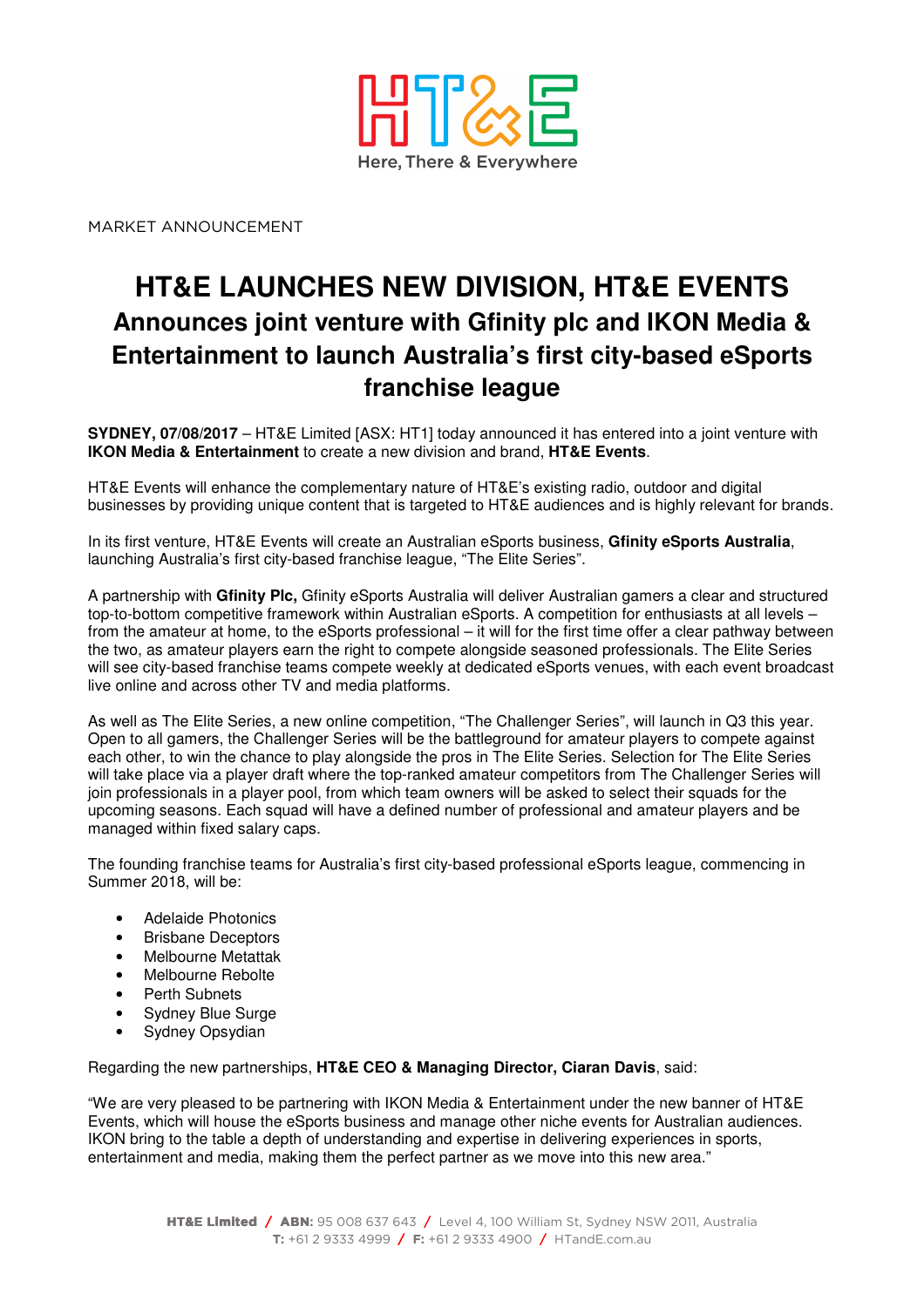

MARKET ANNOUNCEMENT

# **HT&E LAUNCHES NEW DIVISION, HT&E EVENTS Announces joint venture with Gfinity plc and IKON Media & Entertainment to launch Australia's first city-based eSports franchise league**

**SYDNEY, 07/08/2017** – HT&E Limited [ASX: HT1] today announced it has entered into a joint venture with **IKON Media & Entertainment** to create a new division and brand, **HT&E Events**.

HT&E Events will enhance the complementary nature of HT&E's existing radio, outdoor and digital businesses by providing unique content that is targeted to HT&E audiences and is highly relevant for brands.

In its first venture, HT&E Events will create an Australian eSports business, **Gfinity eSports Australia**, launching Australia's first city-based franchise league, "The Elite Series".

A partnership with **Gfinity Plc,** Gfinity eSports Australia will deliver Australian gamers a clear and structured top-to-bottom competitive framework within Australian eSports. A competition for enthusiasts at all levels – from the amateur at home, to the eSports professional – it will for the first time offer a clear pathway between the two, as amateur players earn the right to compete alongside seasoned professionals. The Elite Series will see city-based franchise teams compete weekly at dedicated eSports venues, with each event broadcast live online and across other TV and media platforms.

As well as The Elite Series, a new online competition, "The Challenger Series", will launch in Q3 this year. Open to all gamers, the Challenger Series will be the battleground for amateur players to compete against each other, to win the chance to play alongside the pros in The Elite Series. Selection for The Elite Series will take place via a player draft where the top-ranked amateur competitors from The Challenger Series will join professionals in a player pool, from which team owners will be asked to select their squads for the upcoming seasons. Each squad will have a defined number of professional and amateur players and be managed within fixed salary caps.

The founding franchise teams for Australia's first city-based professional eSports league, commencing in Summer 2018, will be:

- Adelaide Photonics
- Brisbane Deceptors
- Melbourne Metattak
- Melbourne Rebolte
- Perth Subnets
- Sydney Blue Surge
- Sydney Opsydian

Regarding the new partnerships, **HT&E CEO & Managing Director, Ciaran Davis**, said:

"We are very pleased to be partnering with IKON Media & Entertainment under the new banner of HT&E Events, which will house the eSports business and manage other niche events for Australian audiences. IKON bring to the table a depth of understanding and expertise in delivering experiences in sports, entertainment and media, making them the perfect partner as we move into this new area."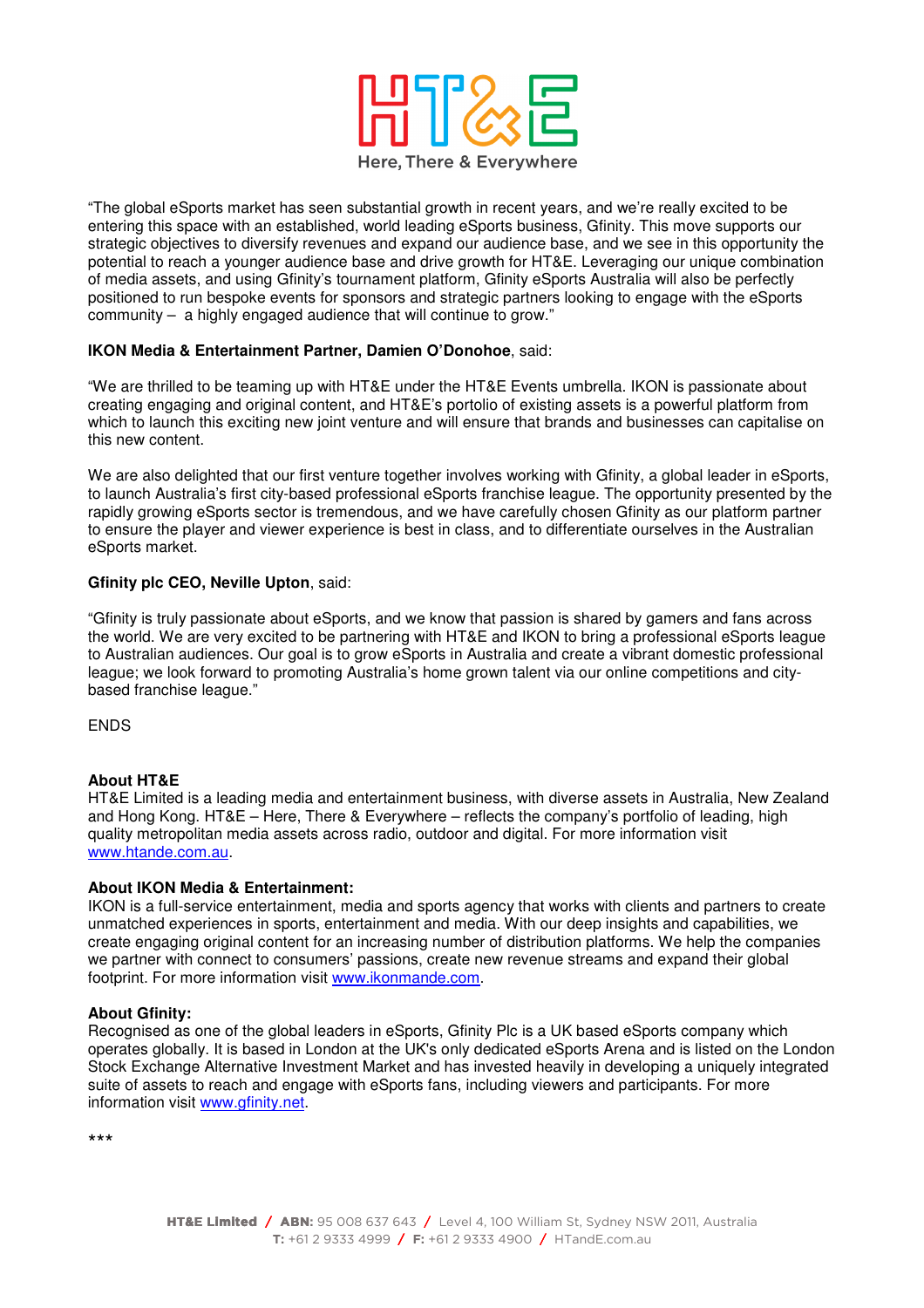

"The global eSports market has seen substantial growth in recent years, and we're really excited to be entering this space with an established, world leading eSports business, Gfinity. This move supports our strategic objectives to diversify revenues and expand our audience base, and we see in this opportunity the potential to reach a younger audience base and drive growth for HT&E. Leveraging our unique combination of media assets, and using Gfinity's tournament platform, Gfinity eSports Australia will also be perfectly positioned to run bespoke events for sponsors and strategic partners looking to engage with the eSports community – a highly engaged audience that will continue to grow."

# **IKON Media & Entertainment Partner, Damien O'Donohoe**, said:

"We are thrilled to be teaming up with HT&E under the HT&E Events umbrella. IKON is passionate about creating engaging and original content, and HT&E's portolio of existing assets is a powerful platform from which to launch this exciting new joint venture and will ensure that brands and businesses can capitalise on this new content.

We are also delighted that our first venture together involves working with Gfinity, a global leader in eSports, to launch Australia's first city-based professional eSports franchise league. The opportunity presented by the rapidly growing eSports sector is tremendous, and we have carefully chosen Gfinity as our platform partner to ensure the player and viewer experience is best in class, and to differentiate ourselves in the Australian eSports market.

## **Gfinity plc CEO, Neville Upton**, said:

"Gfinity is truly passionate about eSports, and we know that passion is shared by gamers and fans across the world. We are very excited to be partnering with HT&E and IKON to bring a professional eSports league to Australian audiences. Our goal is to grow eSports in Australia and create a vibrant domestic professional league; we look forward to promoting Australia's home grown talent via our online competitions and citybased franchise league."

**ENDS** 

#### **About HT&E**

HT&E Limited is a leading media and entertainment business, with diverse assets in Australia, New Zealand and Hong Kong. HT&E – Here, There & Everywhere – reflects the company's portfolio of leading, high quality metropolitan media assets across radio, outdoor and digital. For more information visit www.htande.com.au.

#### **About IKON Media & Entertainment:**

IKON is a full-service entertainment, media and sports agency that works with clients and partners to create unmatched experiences in sports, entertainment and media. With our deep insights and capabilities, we create engaging original content for an increasing number of distribution platforms. We help the companies we partner with connect to consumers' passions, create new revenue streams and expand their global footprint. For more information visit www.ikonmande.com.

## **About Gfinity:**

Recognised as one of the global leaders in eSports, Gfinity Plc is a UK based eSports company which operates globally. It is based in London at the UK's only dedicated eSports Arena and is listed on the London Stock Exchange Alternative Investment Market and has invested heavily in developing a uniquely integrated suite of assets to reach and engage with eSports fans, including viewers and participants. For more information visit www.gfinity.net.

\*\*\*